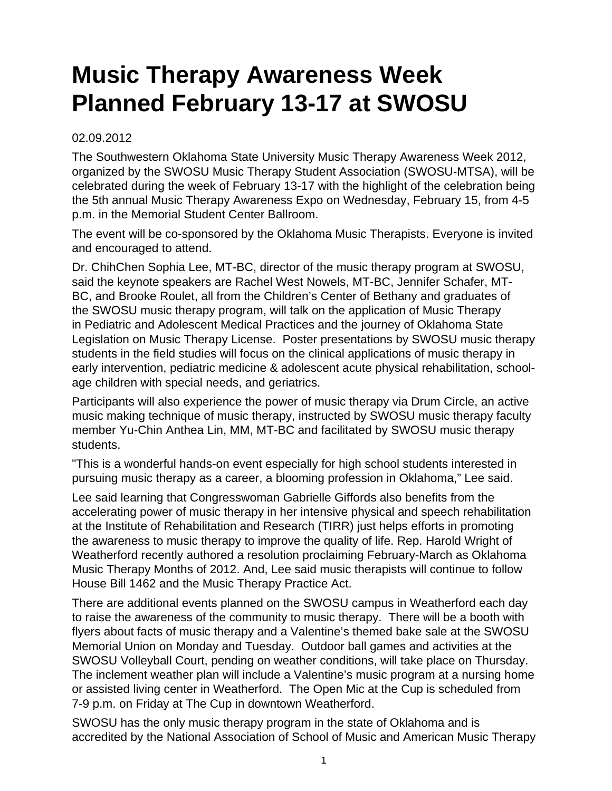## **Music Therapy Awareness Week Planned February 13-17 at SWOSU**

## 02.09.2012

The Southwestern Oklahoma State University Music Therapy Awareness Week 2012, organized by the SWOSU Music Therapy Student Association (SWOSU-MTSA), will be celebrated during the week of February 13-17 with the highlight of the celebration being the 5th annual Music Therapy Awareness Expo on Wednesday, February 15, from 4-5 p.m. in the Memorial Student Center Ballroom.

The event will be co-sponsored by the Oklahoma Music Therapists. Everyone is invited and encouraged to attend.

Dr. ChihChen Sophia Lee, MT-BC, director of the music therapy program at SWOSU, said the keynote speakers are Rachel West Nowels, MT-BC, Jennifer Schafer, MT-BC, and Brooke Roulet, all from the Children's Center of Bethany and graduates of the SWOSU music therapy program, will talk on the application of Music Therapy in Pediatric and Adolescent Medical Practices and the journey of Oklahoma State Legislation on Music Therapy License. Poster presentations by SWOSU music therapy students in the field studies will focus on the clinical applications of music therapy in early intervention, pediatric medicine & adolescent acute physical rehabilitation, schoolage children with special needs, and geriatrics.

Participants will also experience the power of music therapy via Drum Circle, an active music making technique of music therapy, instructed by SWOSU music therapy faculty member Yu-Chin Anthea Lin, MM, MT-BC and facilitated by SWOSU music therapy students.

"This is a wonderful hands-on event especially for high school students interested in pursuing music therapy as a career, a blooming profession in Oklahoma," Lee said.

Lee said learning that Congresswoman Gabrielle Giffords also benefits from the accelerating power of music therapy in her intensive physical and speech rehabilitation at the Institute of Rehabilitation and Research (TIRR) just helps efforts in promoting the awareness to music therapy to improve the quality of life. Rep. Harold Wright of Weatherford recently authored a resolution proclaiming February-March as Oklahoma Music Therapy Months of 2012. And, Lee said music therapists will continue to follow House Bill 1462 and the Music Therapy Practice Act.

There are additional events planned on the SWOSU campus in Weatherford each day to raise the awareness of the community to music therapy. There will be a booth with flyers about facts of music therapy and a Valentine's themed bake sale at the SWOSU Memorial Union on Monday and Tuesday. Outdoor ball games and activities at the SWOSU Volleyball Court, pending on weather conditions, will take place on Thursday. The inclement weather plan will include a Valentine's music program at a nursing home or assisted living center in Weatherford. The Open Mic at the Cup is scheduled from 7-9 p.m. on Friday at The Cup in downtown Weatherford.

SWOSU has the only music therapy program in the state of Oklahoma and is accredited by the National Association of School of Music and American Music Therapy